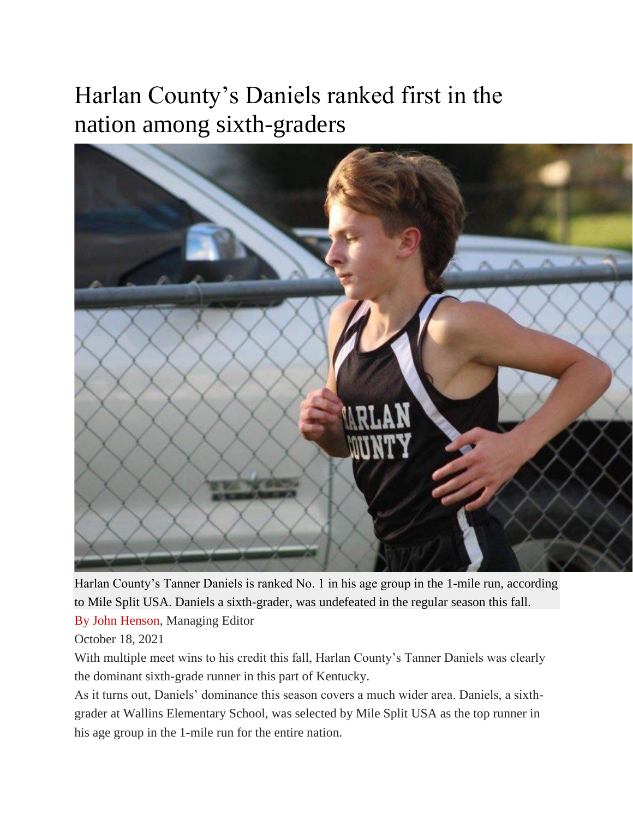## Harlan County's Daniels ranked first in the nation among sixth-graders



Harlan County's Tanner Daniels is ranked No. 1 in his age group in the 1-mile run, according to Mile Split USA. Daniels a sixth-grader, was undefeated in the regular season this fall.

[By John Henson,](https://harlancountysports.com/staff_name/by-john-henson/) Managing Editor

October 18, 2021

With multiple meet wins to his credit this fall, Harlan County's Tanner Daniels was clearly the dominant sixth-grade runner in this part of Kentucky.

As it turns out, Daniels' dominance this season covers a much wider area. Daniels, a sixthgrader at Wallins Elementary School, was selected by Mile Split USA as the top runner in his age group in the 1-mile run for the entire nation.